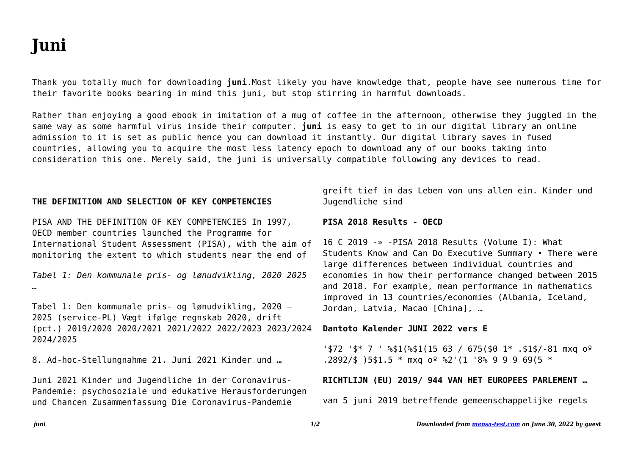# **Juni**

Thank you totally much for downloading **juni**.Most likely you have knowledge that, people have see numerous time for their favorite books bearing in mind this juni, but stop stirring in harmful downloads.

Rather than enjoying a good ebook in imitation of a mug of coffee in the afternoon, otherwise they juggled in the same way as some harmful virus inside their computer. **juni** is easy to get to in our digital library an online admission to it is set as public hence you can download it instantly. Our digital library saves in fused countries, allowing you to acquire the most less latency epoch to download any of our books taking into consideration this one. Merely said, the juni is universally compatible following any devices to read.

#### **THE DEFINITION AND SELECTION OF KEY COMPETENCIES**

PISA AND THE DEFINITION OF KEY COMPETENCIES In 1997, OECD member countries launched the Programme for International Student Assessment (PISA), with the aim of monitoring the extent to which students near the end of

*Tabel 1: Den kommunale pris- og lønudvikling, 2020 2025 …*

Tabel 1: Den kommunale pris- og lønudvikling, 2020 – 2025 (service-PL) Vægt ifølge regnskab 2020, drift (pct.) 2019/2020 2020/2021 2021/2022 2022/2023 2023/2024 2024/2025

8. Ad-hoc-Stellungnahme 21. Juni 2021 Kinder und …

Juni 2021 Kinder und Jugendliche in der Coronavirus-Pandemie: psychosoziale und edukative Herausforderungen und Chancen Zusammenfassung Die Coronavirus-Pandemie

greift tief in das Leben von uns allen ein. Kinder und Jugendliche sind

#### **PISA 2018 Results - OECD**

16 C 2019 -» -PISA 2018 Results (Volume I): What Students Know and Can Do Executive Summary • There were large differences between individual countries and economies in how their performance changed between 2015 and 2018. For example, mean performance in mathematics improved in 13 countries/economies (Albania, Iceland, Jordan, Latvia, Macao [China], ...

#### **Dantoto Kalender JUNI 2022 vers E**

 $1572$   $15*$  7  $1851$ ( $81(1563)$  / 675(\$0 1\*, \$1\$/-81 mxq  $0^{\circ}$ .2892/\$ )5\$1.5 \* mxq  $0^{\circ}$  %2'(1 '8% 9 9 9 69(5 \*

#### **RICHTLIJN (EU) 2019/ 944 VAN HET EUROPEES PARLEMENT …**

van 5 juni 2019 betreffende gemeenschappelijke regels